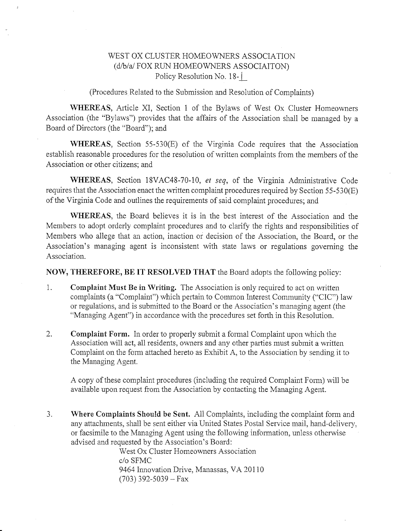## WEST OX CLUSTER HOMEOWNERS ASSOCIATION (d/b/a/ FOX RUN HOMEOWNERS ASSOCIAITON) Policy Resolution No. 18-1

(Procedures Related to the Submission and Resolution of Complaints)

WHEREAS, Article XI, Section 1 of the Bylaws of West Ox Cluster Homeowners Association (the "Bylaws") provides that the affairs of the Association shall be managed by a Board of Directors (the "Board"); and

WHEREAS, Section 55-530(E) of the Virginia Code requires that the Association establish reasonable procedures for the resolution of written complaints from the members of the Association or other citizens; and

WHEREAS, Section 18VAC48-70-10, et seq, of the Virginia Administrative Code requires that the Association enact the written complaint procedures required by Section  $55-530(E)$ of the Virginia Code and outlines the requirements of said complaint procedures; and

WHEREAS, the Board believes it is in the best interest of the Association and the Members to adopt orderly complaint procedures and to clarify the rights and responsibilities of Members who allege that an action, inaction or decision of the Association, the Board, or the Association's managing agent is inconsistent with state laws or regulations governing the Association.

NOW, THEREFORE, BE IT RESOLVED THAT the Board adopts the following policy:

- 1. Complaint Must Be in Writing. The Association is only required to act on written complaints (a "Complaint") which pertain to Common Interest Community ("CIC") law or regulations, and is submitted to the Board or the Association's managing agent (the "Managing Agent") in accordance with the procedures set forth in this Resolution.
- 2. Complaint Form. In order to properly submit a formal Complaint upon which the Association will act, all residents, owners and any other parties must submit a written Complaint on the form attached hereto as Exhibit A, to the Association by sending it to the Managing Agent.

A copy of these complaint procedures (including the required Complaint Form) will be available upon request from the Association by contacting the Managing Agent.

3. Where Complaints Should be Sent. All Complaints, including the complaint form and any attachments, shall be sent either via United States Postal Service mail, hand-delivery. or facsimile to the Managing Agent using the following information, unless otherwise advised and requested by the Association's Board:

> West Ox Cluster Homeowners Association c/o SFMC 9464 Innovation Drive, Manassas, VA 20110  $(703)$  392-5039 - Fax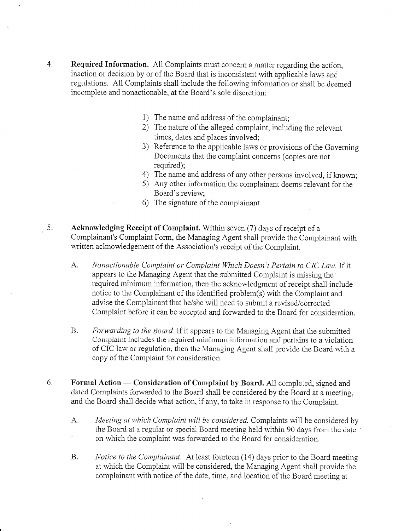- 4. Required Information. All Complaints must concern a matter regarding the action, inaction or decision by or of the Board that is inconsistent with applicable laws and regulations. All Complaints shall include the following information or shall be deemed incomplete and nonactionable, at the Board's sole discretion:
	- 1) The name and address of the complainant;
	- 2) The nature of the alleged complaint, including the relevant times, dates and places involved;
	- 3) Reference to the applicable laws or provisions of the Governing Documents that the complaint concerns (copies are not required);
	- 4) The name and address of any other persons involved, if known;
	- 5) Any other information the complainant deems relevant for the Board's review:
	- 6) The signature of the complainant
- Acknowledging Receipt of Complaint. Within seven (7) days of receipt of a Complainant's Complaint Form, the Managing Agent shall provide the Complainant with written acknowledgement of the Association's receipt of the Complaint. 5.
	- A. Nonactionable Complaint or Complaint Which Doesn't Pertain to CIC Law. If it appears to the Managing Agent that the submitted Complaint is missing the required minimum information, then the acknowledgment of receipt shall include notice to the Complainant of the identified problem(s) with the Complaint and advise the Complainant that he/she will need to submit a revised/corrected Complaint before it can be accepted and forwarded to the Board for consideration.
	- B. Forwarding to the Board. If it appears to the Managing Agent that the submitted Complaint includes the required minimum information and pertains to a violation of CIC law or regulation, then the Managing Agent shall provide the Board with a copy of the Complaint for consideration.
- Formal Action Consideration of Complaint by Board. A11 completed, signed and rormal Action — Consideration of Complaint by Board. All completed, signed and<br>dated Complaints forwarded to the Board shall be considered by the Board at a meeting, and the Board shall decide what action, if any, to take in response to the Complaint. 6.
	- A. Meeting at which Complaint will be considered. Complaints will be considered by the Board at a regular or special Board meeting held within 90 days from the date. on which the complaint was forwarded to the Board for consideration.
	- B. Notice to the Complainant. At least fourteen (14) days prior to the Board meeting at which the Complaint will be considered, the Managing Agent shall provide the complainant with notice of the date, time, and location of the Board meeting at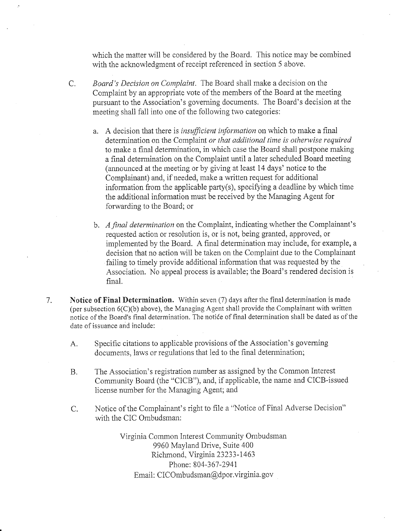which the matter will be considered by the Board. This notice may be combined with the acknowledgment of receipt referenced in section 5 above.

- C. Board's Decision on Complaint. The Board shall make a decision on the Complaint by an appropriate vote of the members of the Board at the meeting pursuant to the Association's governing documents. The Board's decision at the meeting shall fall into one of the following two categories:
	- a. A decision that there is *insufficient information* on which to make a final determination on the Complaint or that additional time is otherwise required to make a final determination, in which case the Board shall postpone making a final determination on the Complaint until a later scheduled Board meeting (announced at the ineeting or by giving at least 14 days' notice to the Complainant) and, if needed, make a written request for additional information from the applicable party(s), specifying a deadline by which time the additional information must be received by the Managing Agent for forwarding to the Board; or
	- b. A final determination on the Complaint, indicating whether the Complainant's requested action or resolution is, or is not, being granted, approved, or implemented by the Board. A final determination may include, for example, a decision that no action will be taken on the Complaint due to the Complainant failing to timely provide additional information that was requested by the Association. No appeal process is available; the Board's rendered decision is final.
- 7. Notice of Final Determination. Within seven (7) days after the final determination is made (per subsection  $6(C)(b)$  above), the Managing Agent shall provide the Complainant with written notice of the Board's final determination. The notiće of final determination shall be dated as of the date of issuance and include:
	- A. Specific citations to applicable provisions of the Association's governing documents, laws or regulations that led to the final determination;
	- B. The Association's registration number as assigned by the Common Interest Community Board (the "CICB"), and, if applicable, the name and CICB-issued license nunber for the Managing Agent; and
	- C. Notice of the Complainant's right to file a "Notice of Final Adverse Decision" with the CIC Ombudsman:

Virginia Common Interest Community Ombudsman 9960 Mayland Drive, Suite 400 Richmond, Virginia 23233-1463 Phone: 804-367-2941 Email: CICOmbudsman@dpor.virginia.gov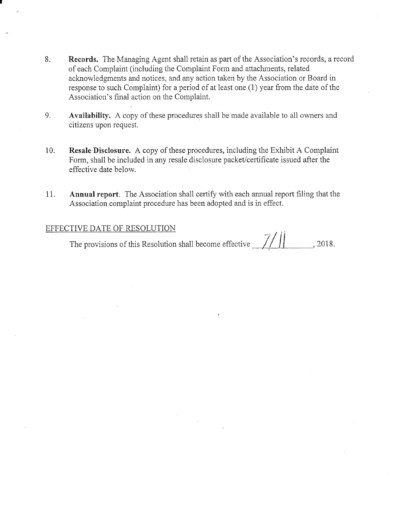- 8. Records. The Managing Agent shall retain as part of the Association's records, a record of each Complaint (including the Complaint Form and attachments, related acknowledgments and notices, and any action taken by the Association or Board in response to such Complaint) for a period of at least one (1) year from the date of the Association's final action on the Complaint.
- 9. Availability. A copy of these procedures shall be made available to all owners and citizens upon request.
- 10. Resale Diselosure. A copy of these procedures, including the Exhibit A Complaint Fomr, shall be included in any resale disclosure packet/certificate issued after the effective date below
- 11. Annual report. The Association shall certify with each annual report filing that the Association complaint procedure has been adopted and is in effect.

-,,/ ii EFFECTIVE DATE OF RESOLUTION The provisions of this Resolution shall become effective  $\frac{1}{1}$ , 2018.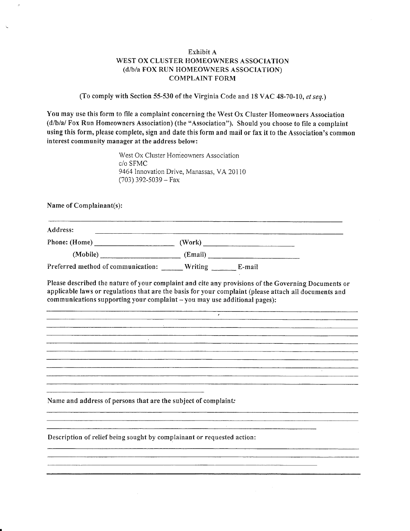## Exhibit A WEST OX CLUSTER HOMEOWNERS ASSOCIATION (d/b/a FOX RUN HOMEOWNERS ASSOCIATION) COMPLAINT FORM

(To comply with Section 55-530 of the Virginia Code and 18 VAC 48-70-10, et seq.)

You may use this form to file a complaint concerning the West  $Ox$  Cluster Homeowners Association  $(d/b/a)$  Fox Run Homeowners Association) (the "Association"). Should you choose to file a complaint using this form, please complete, sign and date this form and mail or fax it to the Association's common interest community manager at the address below:

> West Ox Cluster Homeowners Association c/o SFMC 9464 Innovation Drive, Manassas, VA 20110  $(703)$  392-5039 – Fax

Name of Complainant(s):

| Address:                           |                   |  |
|------------------------------------|-------------------|--|
| Phone: (Home)                      | (Work).           |  |
| (Mobile)                           | (Email)           |  |
| Preferred method of communication: | Writing<br>E-mail |  |

Please described the nature of your complaint and cite any provisions of the Governing Documents or applicable laws or regulations that are the basis for your eomplaint (please attach ail documents and  $communications supporting your complaint - you may use additional pages):$ 

 $\overline{\phantom{a}}$ 

<u> 2000 - Antonio de la contrada de la contrada de la contrada de la contrada de la contrada de la contrada de l</u>

<u> 1989 - Jacques Lander, amerikansk politiker (d. 1989)</u>

.<br>Martin 1980 - The Company of Service Company of the Company of the Company of The Company of the Company of Th 

<u> 1980 - Andrea Santana, amerikana amerikana amerikana amerikana di sebagai pertama di sebagai pertama di sebagai</u>

Name and address of persons that are the subject of complaint:

Description of relief being sought by complainant or requested action: